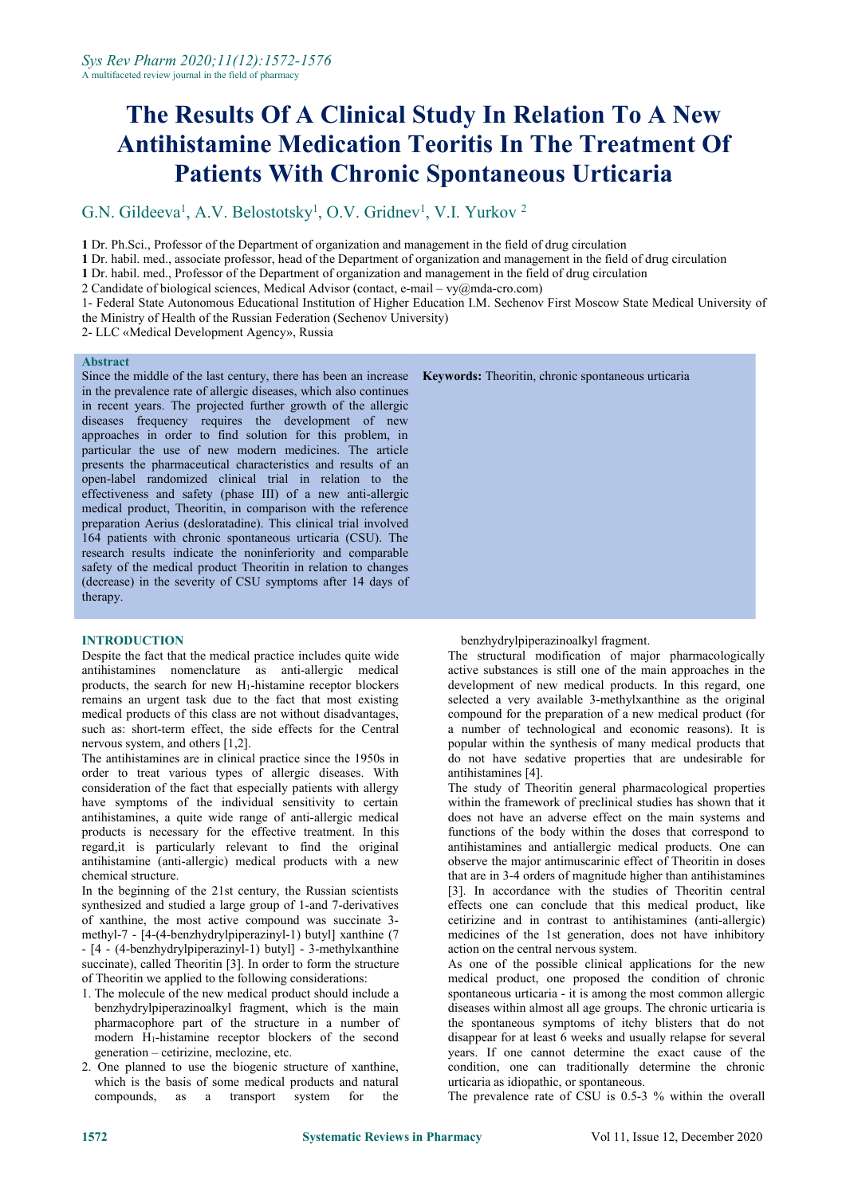# **The Results Of A Clinical Study In Relation To A New Antihistamine Medication Teoritis In The Treatment Of Patients With Chronic Spontaneous Urticaria**

#### G.N. Gildeeva<sup>1</sup>, A.V. Belostotsky<sup>1</sup>, O.V. Gridnev<sup>1</sup>, V.I. Yurkov<sup>2</sup> 2

**1** Dr. Ph.Sci., Professor of the Department of organization and management in the field of drug circulation

**1** Dr. habil. med., associate professor, head of the Department of organization and management in the field of drug circulation

**1** Dr. habil. med., Professor of the Department of organization and management in the field of drug circulation

2 Candidate of biological sciences, Medical Advisor (contact, e-mail – [vy@mda-cro.com\)](mailto:vy@mda-cro.com)

1- Federal State Autonomous Educational Institution of Higher Education I.M. Sechenov First Moscow State Medical University of the Ministry of Health of the Russian Federation (Sechenov University)

2- LLC «Medical Development Agency», Russia

### **Abstract**

Since the middle of the last century, there has been an increase in the prevalence rate of allergic diseases, which also continues in recent years. The projected further growth of the allergic diseases frequency requires the development of new approaches in order to find solution for this problem, in particular the use of new modern medicines. The article presents the pharmaceutical characteristics and results of an open-label randomized clinical trial in relation to the effectiveness and safety (phase III) of a new anti-allergic medical product, Theoritin, in comparison with the reference preparation Aerius (desloratadine). This clinical trial involved 164 patients with chronic spontaneous urticaria (CSU). The research results indicate the noninferiority and comparable safety of the medical product Theoritin in relation to changes (decrease) in the severity of CSU symptoms after 14 days of therapy.

## **INTRODUCTION**

Despite the fact that the medical practice includes quite wide antihistamines nomenclature as anti-allergic medical products, the search for new H1-histamine receptor blockers remains an urgent task due to the fact that most existing medical products of this class are not without disadvantages, such as: short-term effect, the side effects for the Central nervous system, and others [1,2].

The antihistamines are in clinical practice since the 1950s in order to treat various types of allergic diseases. With consideration of the fact that especially patients with allergy have symptoms of the individual sensitivity to certain antihistamines, a quite wide range of anti-allergic medical products is necessary for the effective treatment. In this regard,it is particularly relevant to find the original antihistamine (anti-allergic) medical products with a new chemical structure.

In the beginning of the 21st century, the Russian scientists synthesized and studied a large group of 1-and 7-derivatives of xanthine, the most active compound was succinate 3methyl-7 - [4-(4-benzhydrylpiperazinyl-1) butyl] xanthine (7 - [4 - (4-benzhydrylpiperazinyl-1) butyl] - 3-methylxanthine succinate), called Theoritin [3]. In order to form the structure of Theoritin we applied to the following considerations:

- 1. The molecule of the new medical product should include a benzhydrylpiperazinoalkyl fragment, which is the main pharmacophore part of the structure in a number of modern H1-histamine receptor blockers of the second generation – cetirizine, meclozine, etc.
- 2. One planned to use the biogenic structure of xanthine, which is the basis of some medical products and natural compounds, as a transport system for the

|  |  |  | <b>Keywords:</b> Theoritin, chronic spontaneous urticaria |  |
|--|--|--|-----------------------------------------------------------|--|
|--|--|--|-----------------------------------------------------------|--|

benzhydrylpiperazinoalkyl fragment.

The structural modification of major pharmacologically active substances is still one of the main approaches in the development of new medical products. In this regard, one selected a very available 3-methylxanthine as the original compound for the preparation of a new medical product (for a number of technological and economic reasons). It is popular within the synthesis of many medical products that do not have sedative properties that are undesirable for antihistamines [4].

The study of Theoritin general pharmacological properties within the framework of preclinical studies has shown that it does not have an adverse effect on the main systems and functions of the body within the doses that correspond to antihistamines and antiallergic medical products. One can observe the major antimuscarinic effect of Theoritin in doses that are in 3-4 orders of magnitude higher than antihistamines [3]. In accordance with the studies of Theoritin central effects one can conclude that this medical product, like cetirizine and in contrast to antihistamines (anti-allergic) medicines of the 1st generation, does not have inhibitory action on the central nervous system.

As one of the possible clinical applications for the new medical product, one proposed the condition of chronic spontaneous urticaria - it is among the most common allergic diseases within almost all age groups. The chronic urticaria is the spontaneous symptoms of itchy blisters that do not disappear for at least  $6$  weeks and usually relapse for several years. If one cannot determine the exact cause of the condition, one can traditionally determine the chronic urticaria asidiopathic, or spontaneous.

The prevalence rate of CSU is 0.5-3 % within the overall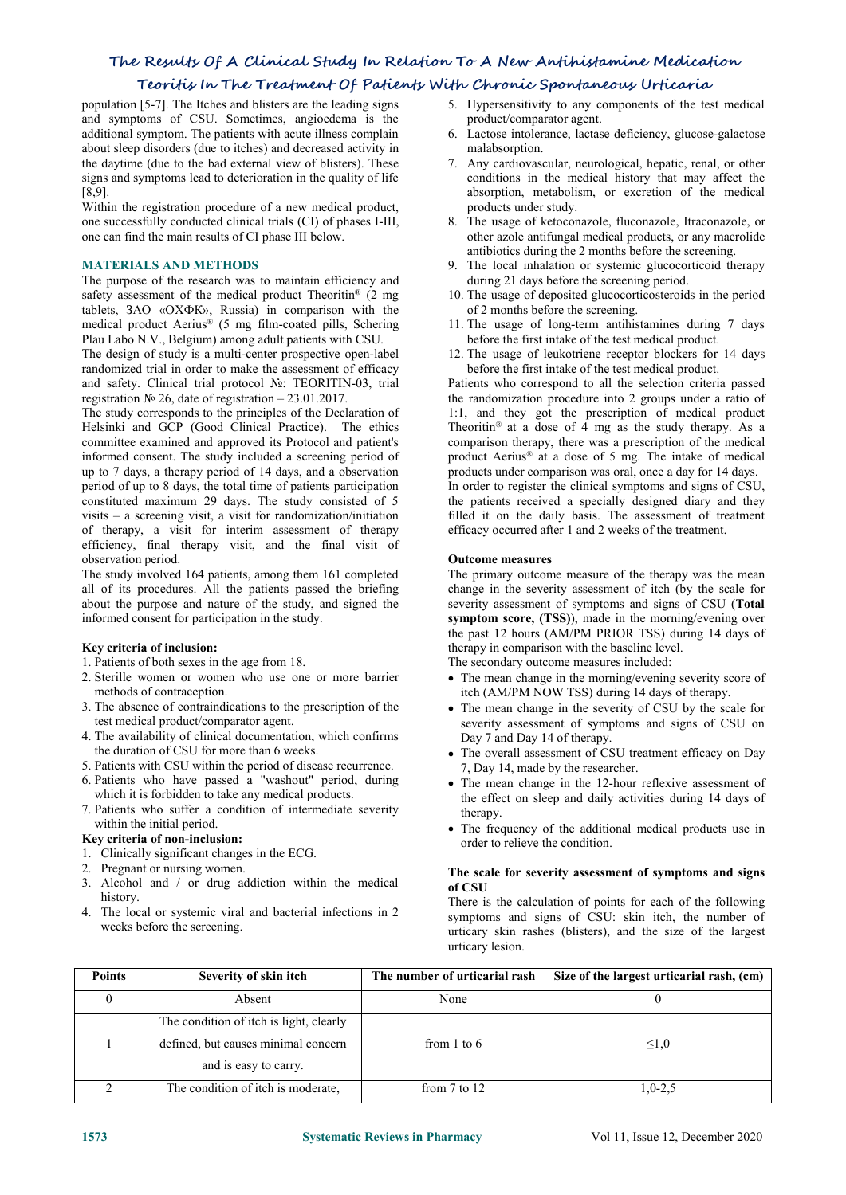## **The Results Of A Clinical Study In Relation To A New Antihistamine Medication**

## **Teoritis In The Treatment Of Patients With Chronic Spontaneous Urticaria**

population [5-7]. The Itches and blisters are the leading signs and symptoms of CSU. Sometimes, angioedema is the additional symptom. The patients with acute illness complain about sleep disorders (due to itches) and decreased activity in the daytime (due to the bad external view of blisters). These signs and symptoms lead to deterioration in the quality of life [8,9].

Within the registration procedure of a new medical product, one successfully conducted clinical trials (CI) of phases I-III, one can find the main results ofCI phase III below.

## **MATERIALS AND METHODS**

The purpose of the research was to maintain efficiency and safety assessment of the medical product Theoritin<sup>®</sup>  $(2 \text{ mg})$ tablets, ЗАО «ОХФК», Russia) in comparison with the medical product Aerius® (5 mg film-coated pills, Schering Plau Labo N.V., Belgium) among adult patients with CSU.

The design of study is a multi-center prospective open-label randomized trial in order to make the assessment of efficacy and safety. Clinical trial protocol №: TEORITIN-03, trial registration № 26, date of registration – 23.01.2017.

The study corresponds to the principles of the Declaration of Helsinki and GCP (Good Clinical Practice). The ethics committee examined and approved its Protocol and patient's informed consent. The study included a screening period of up to 7 days, a therapy period of 14 days, and a observation period of up to 8 days, the total time of patients participation constituted maximum 29 days. The study consisted of 5 visits – a screening visit, a visit for randomization/initiation of therapy, a visit for interim assessment of therapy efficiency, final therapy visit, and the final visit of observation period.

The study involved 164 patients, among them 161 completed all of its procedures. All the patients passed the briefing about the purpose and nature of the study, and signed the informed consent for participation in the study.

- **Key criteria of inclusion:**
- 2. Sterille women or women who use one or more barrier methods of contraception.
- 3. The absence of contraindications to the prescription of the test medical product/comparator agent.
- 4. The availability of clinical documentation, which confirms the duration of CSU for more than 6 weeks.
- 5. Patients with CSU within the period of disease recurrence.
- 6. Patients who have passed a "washout" period, during which it is forbidden to take any medical products.
- 7. Patients who suffer a condition of intermediate severity within the initial period.

## **Key criteria of non-inclusion:**

- 1. Clinically significant changes in the ECG.
- 2. Pregnant or nursing women.
- 3. Alcohol and / or drug addiction within the medical history.
- 4. The local or systemic viral and bacterial infections in 2 weeks before the screening.
- 5. Hypersensitivity to any components of the test medical product/comparator agent.
- 6. Lactose intolerance, lactase deficiency, glucose-galactose malabsorption.
- 7. Any cardiovascular, neurological, hepatic, renal, or other conditions in the medical history that may affect the absorption, metabolism, or excretion of the medical products under study.
- 8. The usage of ketoconazole, fluconazole, Itraconazole, or other azole antifungal medical products, or any macrolide antibiotics during the 2 months before the screening.
- 9. The local inhalation or systemic glucocorticoid therapy during 21 days before the screening period.
- ® (2 mg 10. The usage of deposited glucocorticosteroids in the period of 2 months before the screening.
	- 11. The usage of long-term antihistamines during 7 days before the first intake of the test medical product.
	- 12. The usage of leukotriene receptor blockers for 14 days before the first intake of the test medical product.

Patients who correspond to all the selection criteria passed the randomization procedure into 2 groups under a ratio of 1:1, and they got the prescription of medical product Theoritin ® at a dose of 4 mg as the study therapy. As a comparison therapy, there was a prescription of the medical product Aerius® at a dose of 5 mg. The intake of medical products under comparison was oral, once a day for 14 days.

In order to register the clinical symptoms and signs of CSU, the patients received a specially designed diary and they filled it on the daily basis. The assessment of treatment efficacy occurred after 1 and 2 weeks of the treatment.

## **Outcome measures**

The primary outcome measure of the therapy was the mean change in the severity assessment of itch (by the scale for severity assessment of symptoms and signs of CSU (**Total symptom score, (TSS)**), made in the morning/evening over the past 12 hours (AM/PM PRIOR TSS) during 14 days of therapy in comparison with the baseline level.

The secondary outcome measures included:

- The mean change in the morning/evening severity score of itch (AM/PM NOW TSS) during 14 days of therapy.
- The mean change in the severity of CSU by the scale for severity assessment of symptoms and signs of CSU on Day 7 and Day 14 of therapy.
- The overall assessment of CSU treatment efficacy on Day 7, Day 14, made by the researcher.
- The mean change in the 12-hour reflexive assessment of the effect on sleep and daily activities during 14 days of therapy.
- The frequency of the additional medical products use in order to relieve the condition.

### **The scale for severity assessment of symptoms and signs of CSU**

There is the calculation of points for each of the following symptoms and signs of CSU: skin itch, the number of urticary skin rashes (blisters), and the size of the largesturticary lesion.

| <b>Points</b>                       | Severity of skin itch                   | The number of urticarial rash | Size of the largest urticarial rash, (cm) |
|-------------------------------------|-----------------------------------------|-------------------------------|-------------------------------------------|
|                                     | Absent                                  | None                          |                                           |
|                                     | The condition of itch is light, clearly |                               |                                           |
| defined, but causes minimal concern |                                         | from 1 to $6$                 | $\leq 1,0$                                |
|                                     | and is easy to carry.                   |                               |                                           |
|                                     | The condition of itch is moderate,      | from $7$ to $12$              | $1,0-2,5$                                 |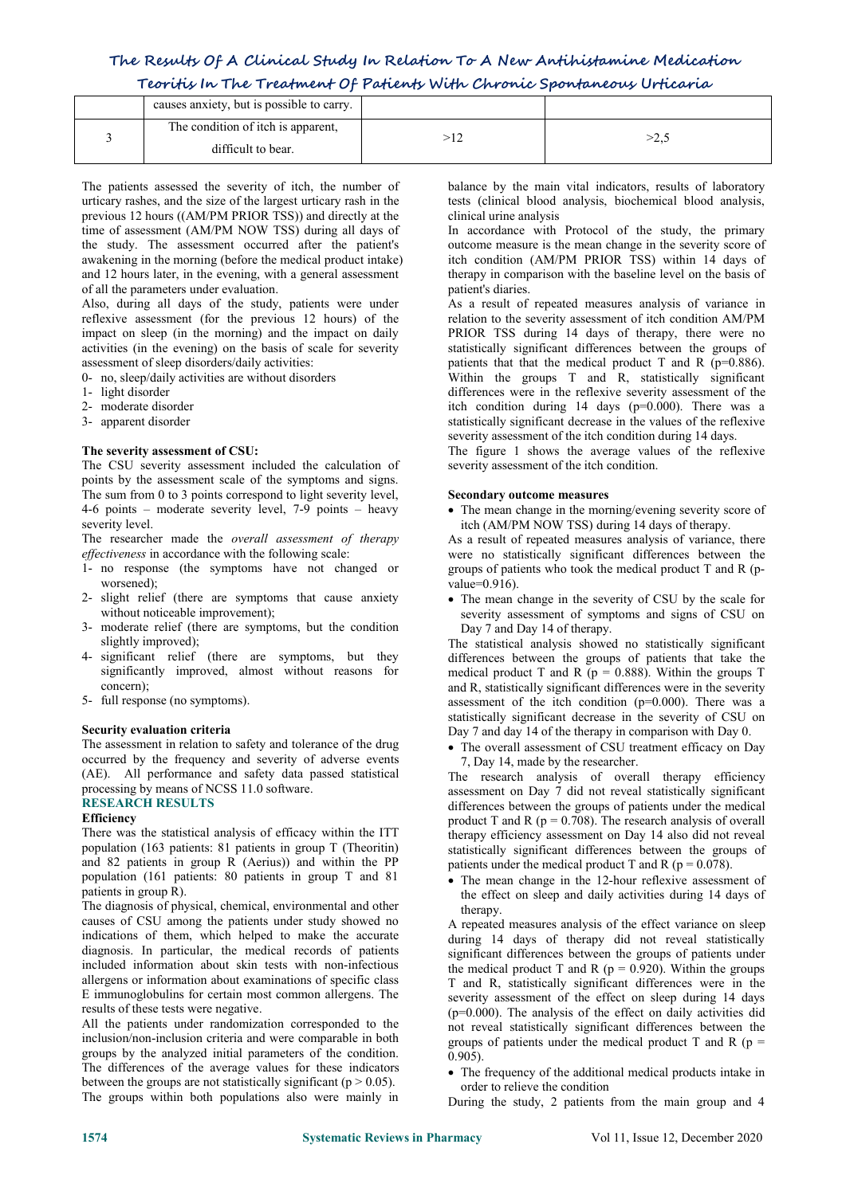## **The Results Of A Clinical Study In Relation To A New Antihistamine Medication Teoritis In The Treatment Of Patients With Chronic Spontaneous Urticaria**

| causes anxiety, but is possible to carry.                |        |
|----------------------------------------------------------|--------|
| The condition of itch is apparent,<br>difficult to bear. | ے ہے ' |

The patients assessed the severity of itch, the number of urticary rashes, and the size of the largest urticary rash in the previous 12 hours ((AM/PM PRIOR TSS)) and directly at the time of assessment (AM/PM NOW TSS) during all days of the study. The assessment occurred after the patient's awakening in the morning (before the medical product intake) and 12 hours later, in the evening, with a general assessment of all the parameters under evaluation.

Also, during all days of the study, patients were under reflexive assessment (for the previous 12 hours) of the impact on sleep (in the morning) and the impact on daily activities (in the evening) on the basis of scale for severity assessment of sleep disorders/daily activities:

- 0- no, sleep/daily activities are without disorders
- 1- light disorder
- 2- moderate disorder
- 3- apparent disorder

## **The severity assessment of CSU:**

The CSU severity assessment included the calculation of points by the assessment scale of the symptoms and signs. The sum from 0 to 3 points correspond to light severity level, 4-6 points – moderate severity level, 7-9 points – heavy severity level.

The researcher made the *overall assessment of therapy ef ectiveness* in accordance with the following scale:

- 1- no response (the symptoms have not changed or worsened);
- 2- slight relief (there are symptoms that cause anxiety without noticeable improvement);
- 3- moderate relief (there are symptoms, but the condition slightly improved);
- 4- significant relief (there are symptoms, but they significantly improved, almost without reasons for concern);
- 5- full response (no symptoms).

## **Security evaluation criteria**

The assessment in relation to safety and tolerance of the drug occurred by the frequency and severity of adverse events (AE). All performance and safety data passed statistical processing by means of NCSS 11.0 software.

## **RESEARCH RESULTS**

## **Efficiency**

There was the statistical analysis of efficacy within the ITT population (163 patients: 81 patients in group T (Theoritin) and 82 patients in group R (Aerius)) and within the PP population (161 patients: 80 patients in group T and 81 patients in group R).

The diagnosis of physical, chemical, environmental and other causes of CSU among the patients under study showed no indications of them, which helped to make the accurate diagnosis. In particular, the medical records of patients included information about skin tests with non-infectious allergens or information about examinations of specific class E immunoglobulins for certain most common allergens. The results of these tests were negative.

All the patients under randomization corresponded to the inclusion/non-inclusion criteria and were comparable in both groups by the analyzed initial parameters of the condition. The differences of the average values for these indicators between the groups are not statistically significant ( $p > 0.05$ ). The groups within both populations also were mainly in

balance by the main vital indicators, results of laboratory tests (clinical blood analysis, biochemical blood analysis, clinical urine analysis

In accordance with Protocol of the study, the primary outcome measure is the mean change in the severity score of itch condition (AM/PM PRIOR TSS) within 14 days of therapy in comparison with the baseline level on the basis of patient's diaries.

As a result of repeated measures analysis of variance in relation to the severity assessment of itch condition AM/PM PRIOR TSS during 14 days of therapy, there were no statistically significant differences between the groups of patients that that the medical product T and R ( $p=0.886$ ). Within the groups T and R, statistically significant differences were in the reflexive severity assessment of the itch condition during 14 days (p=0.000). There was a statistically significant decrease in the values of the reflexive severity assessment of the itch condition during 14 days.

The figure 1 shows the average values of the reflexive severity assessment of the itch condition.

### **Secondary outcome measures**

• The mean change in the morning/evening severity score of itch (AM/PM NOW TSS) during 14 days of therapy.

As a result of repeated measures analysis of variance, there were no statistically significant differences between the groups of patients who took the medical product T and R (p value=0.916).

• The mean change in the severity of CSU by the scale for severity assessment of symptoms and signs of CSU on Day 7 and Day 14 of therapy.

The statistical analysis showed no statistically significant differences between the groups of patients that take the medical product T and R ( $p = 0.888$ ). Within the groups T and R, statistically significant differences were in the severity assessment of the itch condition ( $p=0.000$ ). There was a statistically significant decrease in the severity of CSU on Day 7 and day 14 of the therapy in comparison with Day 0.

• The overall assessment of CSU treatment efficacy on Day 7, Day 14, made by the researcher.

The research analysis of overall therapy efficiency assessment on Day 7 did not reveal statistically significant differences between the groups of patients under the medical product T and R ( $p = 0.708$ ). The research analysis of overall therapy efficiency assessment on Day 14 also did not reveal statistically significant differences between the groups of patients under the medical product T and R ( $p = 0.078$ ).

• The mean change in the 12-hour reflexive assessment of the effect on sleep and daily activities during 14 days of therapy.

A repeated measures analysis of the effect variance on sleep during 14 days of therapy did not reveal statistically significant differences between the groups of patients under the medical product T and R ( $p = 0.920$ ). Within the groups T and R, statistically significant differences were in the severity assessment of the effect on sleep during 14 days (p=0.000). The analysis of the effect on daily activities did not reveal statistically significant differences between the groups of patients under the medical product T and R ( $p =$ 0.905).

 The frequency of the additional medical products intake in order to relieve the condition

During the study,2 patients from the main group and 4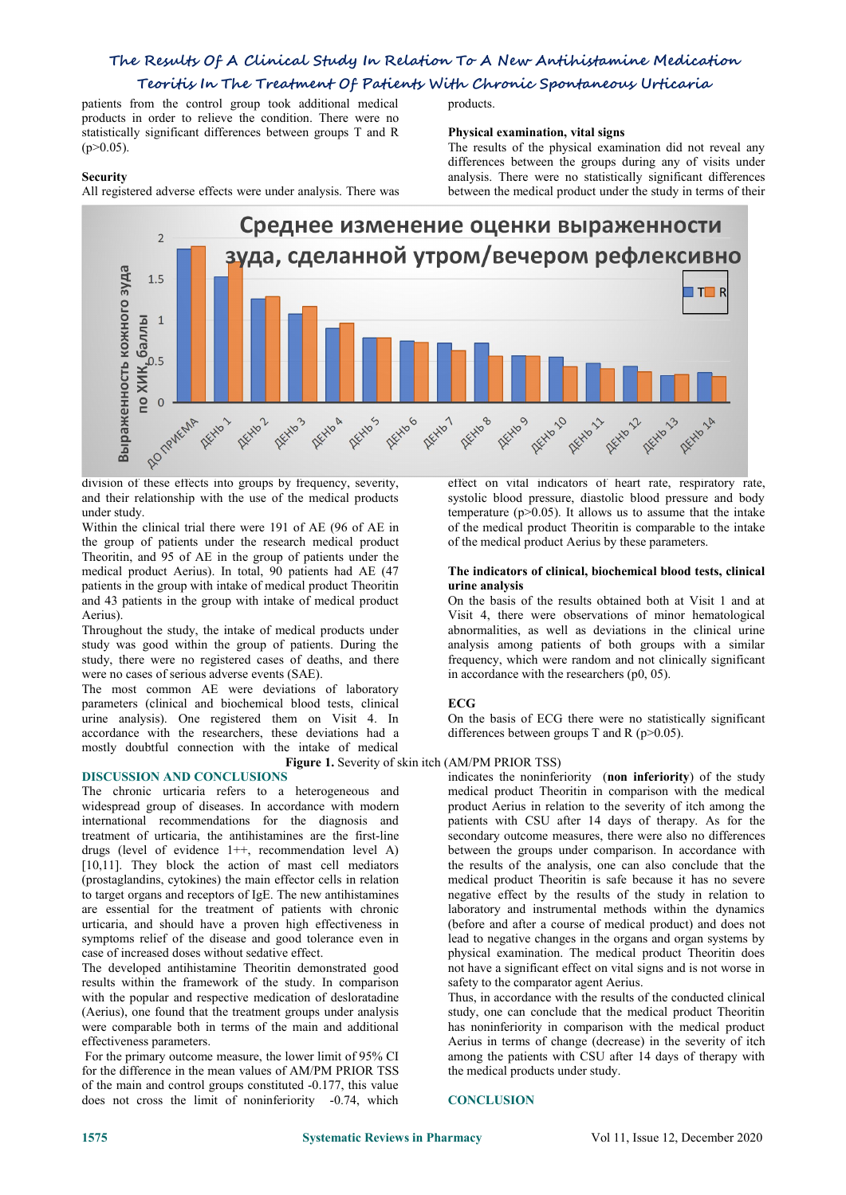## **The Results Of A Clinical Study In Relation To A New Antihistamine Medication Teoritis In The Treatment Of Patients With Chronic Spontaneous Urticaria**

patients from the control group took additional medical products in order to relieve the condition. There were no statistically significant differences between groups T and R  $(p>0.05)$ .

## **Security**

All registered adverse effects were under analysis. There was

products.

## **Physical examination, vital signs**

The results of the physical examination did not reveal any differences between the groups during any of visits under analysis. There were no statistically significant differences between the medical product under the study in terms of their



and their relationship with the use of the medical products under study.

Within the clinical trial there were 191 of AE (96 of AE in the group of patients under the research medical product Theoritin, and 95 of AE in the group of patients under the medical product Aerius). In total, 90 patients had AE (47 patients in the group with intake of medical product Theoritin and 43 patients in the group with intake of medical product Aerius).

Throughout the study, the intake of medical products under study was good within the group of patients. During the study, there were no registered cases of deaths, and there were no cases of serious adverse events (SAE).

The most common AE were deviations of laboratory parameters (clinical and biochemical blood tests, clinical urine analysis). One registered them on Visit 4. In accordance with the researchers, these deviations had amostly doubtful connection with the intake of medical

## **DISCUSSION AND CONCLUSIONS**

The chronic urticaria refers to a heterogeneous and widespread group of diseases. In accordance with modern international recommendations for the diagnosis and treatment of urticaria, the antihistamines are the first-line drugs (level of evidence 1++, recommendation level A) [10,11]. They block the action of mast cell mediators (prostaglandins, cytokines) the main effector cells in relation to target organs and receptors of IgE. The new antihistamines are essential for the treatment of patients with chronic urticaria, and should have a proven high effectiveness in symptoms relief of the disease and good tolerance even in case of increased doses without sedative effect.

The developed antihistamine Theoritin demonstrated good results within the framework of the study. In comparison with the popular and respective medication of desloratadine (Aerius), one found that the treatment groups under analysis were comparable both in terms of the main and additional effectiveness parameters.

For the primary outcome measure, the lower limit of 95% CI for the difference in the mean values of AM/PM PRIOR TSS of the main and control groups constituted -0.177, this value does not cross the limit of noninferiority -0.74, which

effect on vital indicators of heart rate, respiratory rate, systolic blood pressure, diastolic blood pressure and body temperature  $(p>0.05)$ . It allows us to assume that the intake of the medical product Theoritin is comparable to the intake of the medical product Aerius by these parameters.

### **The indicators ofclinical, biochemical blood tests, clinical urine analysis**

On the basis of the results obtained both at Visit 1 and at Visit 4, there were observations of minor hematological abnormalities, as well as deviations in the clinical urine analysis among patients of both groups with a similar frequency, which were random and not clinically significant in accordance with the researchers (p0, 05).

## **ECG**

On the basis of ECG there were no statistically significant differences between groups T and R ( $p$  > 0.05).

## **Figure 1.** Severity of skin itch (AM/PM PRIOR TSS)

indicates the noninferiority (**non inferiority**) of the study medical product Theoritin in comparison with the medical product Aerius in relation to the severity of itch among the patients with CSU after 14 days of therapy. As for the secondary outcome measures, there were also no differences between the groups under comparison. In accordance with the results of the analysis, one can also conclude that the medical product Theoritin is safe because it has no severe negative effect by the results of the study in relation to laboratory and instrumental methods within the dynamics (before and after a course of medical product) and does not lead to negative changes in the organs and organ systems by physical examination. The medical product Theoritin does not have a significant effect on vital signs and is not worse in safety to the comparator agent Aerius.

Thus, in accordance with the results of the conducted clinical study, one can conclude that the medical product Theoritin has noninferiority in comparison with the medical product Aerius in terms of change (decrease) in the severity of itch among the patients with CSU after 14 days of therapy with the medical products under study.

### **CONCLUSION**